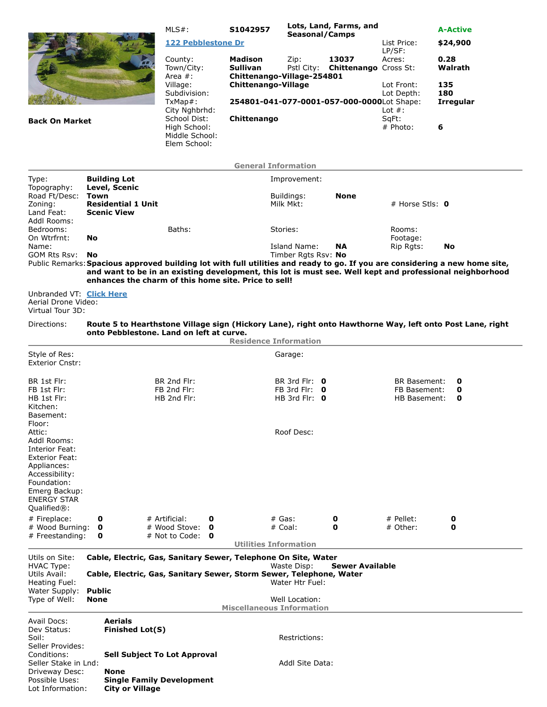| <b>Back On Market</b>                                                                                                                                                     |                                                                                                         |                                                                                                                  | $MLS#$ :                                         |                                                                | S1042957                                                                               | Lots, Land, Farms, and<br>Seasonal/Camps                             |             |                                                                                                                                         | <b>A-Active</b>                                                                                                                                                                                                                         |  |  |  |
|---------------------------------------------------------------------------------------------------------------------------------------------------------------------------|---------------------------------------------------------------------------------------------------------|------------------------------------------------------------------------------------------------------------------|--------------------------------------------------|----------------------------------------------------------------|----------------------------------------------------------------------------------------|----------------------------------------------------------------------|-------------|-----------------------------------------------------------------------------------------------------------------------------------------|-----------------------------------------------------------------------------------------------------------------------------------------------------------------------------------------------------------------------------------------|--|--|--|
|                                                                                                                                                                           |                                                                                                         |                                                                                                                  |                                                  | 122 Pebblestone Dr                                             |                                                                                        |                                                                      |             | List Price:                                                                                                                             | \$24,900                                                                                                                                                                                                                                |  |  |  |
|                                                                                                                                                                           |                                                                                                         |                                                                                                                  | County:<br>Area #:<br>Village:                   | Town/City:<br>Subdivision:<br>TxMap#:<br>City Nghbrhd:         | Madison<br><b>Sullivan</b><br>Chittenango-Village-254801<br><b>Chittenango-Village</b> | Zip:<br>Pstl City:                                                   | 13037       | LP/SF:<br>Acres:<br><b>Chittenango Cross St:</b><br>Lot Front:<br>Lot Depth:<br>254801-041-077-0001-057-000-0000Lot Shape:<br>Lot $#$ : | 0.28<br>Walrath<br>135<br>180<br><b>Irregular</b><br>6                                                                                                                                                                                  |  |  |  |
|                                                                                                                                                                           |                                                                                                         |                                                                                                                  |                                                  | School Dist:<br>High School:<br>Middle School:<br>Elem School: | Chittenango                                                                            |                                                                      |             | SqFt:<br># Photo:                                                                                                                       |                                                                                                                                                                                                                                         |  |  |  |
|                                                                                                                                                                           |                                                                                                         |                                                                                                                  |                                                  |                                                                | <b>General Information</b>                                                             |                                                                      |             |                                                                                                                                         |                                                                                                                                                                                                                                         |  |  |  |
| Type:                                                                                                                                                                     |                                                                                                         | <b>Building Lot</b>                                                                                              |                                                  |                                                                |                                                                                        | Improvement:                                                         |             |                                                                                                                                         |                                                                                                                                                                                                                                         |  |  |  |
| Topography:<br>Road Ft/Desc:<br>Zoning:<br>Land Feat:<br>Addl Rooms:<br>Bedrooms:<br>On Wtrfrnt:<br>Name:<br>GOM Rts Rsv: No                                              | <b>Town</b>                                                                                             | Level, Scenic<br><b>Residential 1 Unit</b><br><b>Scenic View</b>                                                 |                                                  |                                                                |                                                                                        | Buildings:<br>Milk Mkt:                                              | <b>None</b> | # Horse Stls: $\mathbf 0$                                                                                                               |                                                                                                                                                                                                                                         |  |  |  |
|                                                                                                                                                                           | <b>No</b>                                                                                               |                                                                                                                  | Baths:                                           |                                                                |                                                                                        | Stories:<br>Island Name:<br>Timber Rgts Rsv: No                      | <b>NA</b>   | Rooms:<br>Footage:<br>Rip Rgts:                                                                                                         | No                                                                                                                                                                                                                                      |  |  |  |
|                                                                                                                                                                           |                                                                                                         |                                                                                                                  |                                                  |                                                                | enhances the charm of this home site. Price to sell!                                   |                                                                      |             |                                                                                                                                         | Public Remarks: Spacious approved building lot with full utilities and ready to go. If you are considering a new home site,<br>and want to be in an existing development, this lot is must see. Well kept and professional neighborhood |  |  |  |
| Unbranded VT: Click Here<br>Aerial Drone Video:<br>Virtual Tour 3D:                                                                                                       |                                                                                                         |                                                                                                                  |                                                  |                                                                |                                                                                        |                                                                      |             |                                                                                                                                         |                                                                                                                                                                                                                                         |  |  |  |
| Directions:                                                                                                                                                               |                                                                                                         | onto Pebblestone. Land on left at curve.                                                                         |                                                  |                                                                | <b>Residence Information</b>                                                           |                                                                      |             |                                                                                                                                         | Route 5 to Hearthstone Village sign (Hickory Lane), right onto Hawthorne Way, left onto Post Lane, right                                                                                                                                |  |  |  |
| Style of Res:                                                                                                                                                             |                                                                                                         |                                                                                                                  |                                                  |                                                                |                                                                                        | Garage:                                                              |             |                                                                                                                                         |                                                                                                                                                                                                                                         |  |  |  |
| <b>Exterior Cnstr:</b>                                                                                                                                                    |                                                                                                         |                                                                                                                  |                                                  |                                                                |                                                                                        |                                                                      |             |                                                                                                                                         |                                                                                                                                                                                                                                         |  |  |  |
| BR 1st Flr:<br>FB 1st Flr:<br>HB 1st Flr:<br>Kitchen:<br>Basement:<br>Floor:                                                                                              |                                                                                                         |                                                                                                                  | BR 2nd Flr:<br>FB 2nd Flr:<br>HB 2nd Flr:        |                                                                |                                                                                        | BR 3rd Flr: $\theta$<br>FB 3rd Flr: $\theta$<br>HB 3rd Flr: $\theta$ |             | <b>BR Basement:</b><br>FB Basement:<br>HB Basement:                                                                                     | 0<br>0<br>O                                                                                                                                                                                                                             |  |  |  |
| Attic:<br>Addl Rooms:<br>Interior Feat:<br><b>Exterior Feat:</b><br>Appliances:<br>Accessibility:<br>Foundation:<br>Emerg Backup:<br><b>ENERGY STAR</b><br>$Qualified®$ : |                                                                                                         |                                                                                                                  |                                                  |                                                                |                                                                                        | Roof Desc:                                                           |             |                                                                                                                                         |                                                                                                                                                                                                                                         |  |  |  |
| # Fireplace:<br># Wood Burning:<br># Freestanding:                                                                                                                        | 0<br>0<br>0                                                                                             |                                                                                                                  | # Artificial:<br># Wood Stove:<br># Not to Code: | 0<br>0<br>0                                                    |                                                                                        | # Gas:<br># Coal:                                                    | 0<br>0      | $#$ Pellet:<br># Other:                                                                                                                 | 0<br>0                                                                                                                                                                                                                                  |  |  |  |
|                                                                                                                                                                           |                                                                                                         |                                                                                                                  |                                                  |                                                                | <b>Utilities Information</b>                                                           |                                                                      |             |                                                                                                                                         |                                                                                                                                                                                                                                         |  |  |  |
| Utils on Site:<br>HVAC Type:                                                                                                                                              | Cable, Electric, Gas, Sanitary Sewer, Telephone On Site, Water<br><b>Sewer Available</b><br>Waste Disp: |                                                                                                                  |                                                  |                                                                |                                                                                        |                                                                      |             |                                                                                                                                         |                                                                                                                                                                                                                                         |  |  |  |
| Utils Avail:<br>Heating Fuel:                                                                                                                                             | Cable, Electric, Gas, Sanitary Sewer, Storm Sewer, Telephone, Water<br>Water Htr Fuel:                  |                                                                                                                  |                                                  |                                                                |                                                                                        |                                                                      |             |                                                                                                                                         |                                                                                                                                                                                                                                         |  |  |  |
| Water Supply:<br>Type of Well:                                                                                                                                            | <b>Public</b><br><b>None</b>                                                                            |                                                                                                                  |                                                  |                                                                |                                                                                        | Well Location:                                                       |             |                                                                                                                                         |                                                                                                                                                                                                                                         |  |  |  |
|                                                                                                                                                                           |                                                                                                         |                                                                                                                  |                                                  |                                                                | <b>Miscellaneous Information</b>                                                       |                                                                      |             |                                                                                                                                         |                                                                                                                                                                                                                                         |  |  |  |
| Avail Docs:<br>Dev Status:<br>Soil:<br>Seller Provides:                                                                                                                   |                                                                                                         | Aerials<br><b>Finished Lot(S)</b>                                                                                |                                                  |                                                                |                                                                                        | Restrictions:                                                        |             |                                                                                                                                         |                                                                                                                                                                                                                                         |  |  |  |
| Conditions:<br>Seller Stake in Lnd:<br>Driveway Desc:<br>Possible Uses:<br>Lot Information:                                                                               |                                                                                                         | <b>Sell Subject To Lot Approval</b><br><b>None</b><br><b>Single Family Development</b><br><b>City or Village</b> |                                                  |                                                                |                                                                                        | Addl Site Data:                                                      |             |                                                                                                                                         |                                                                                                                                                                                                                                         |  |  |  |